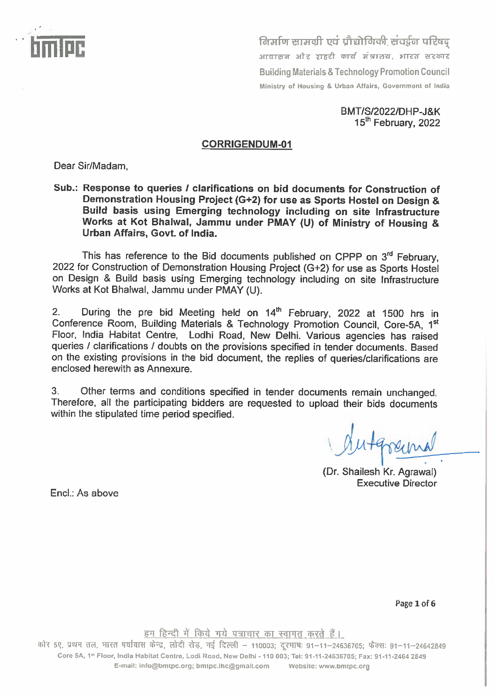

निर्माण सामग्री एवं पौद्योगिकी संवर्द्दन परिषद .<br>आवासन और शहरी कार्य मंत्रालय, भारत सरकार **Building Materials & Technology Promotion Council** Ministry of Housing & Urban Affairs, Government of India

> **BMT/S/2022/DHP-J&K**  $15^{th}$  February, 2022

#### **CORRIGENDUM-01**

Dear Sir/Madam.

Sub.: Response to queries / clarifications on bid documents for Construction of Demonstration Housing Project (G+2) for use as Sports Hostel on Design & Build basis using Emerging technology including on site Infrastructure Works at Kot Bhalwal, Jammu under PMAY (U) of Ministry of Housing & Urban Affairs, Govt. of India.

This has reference to the Bid documents published on CPPP on 3rd February. 2022 for Construction of Demonstration Housing Project (G+2) for use as Sports Hostel on Design & Build basis using Emerging technology including on site Infrastructure Works at Kot Bhalwal, Jammu under PMAY (U).

During the pre bid Meeting held on 14<sup>th</sup> February, 2022 at 1500 hrs in  $2.$ Conference Room, Building Materials & Technology Promotion Council. Core-5A. 1st Floor, India Habitat Centre, Lodhi Road, New Delhi. Various agencies has raised queries / clarifications / doubts on the provisions specified in tender documents. Based on the existing provisions in the bid document, the replies of queries/clarifications are enclosed herewith as Annexure.

 $3.$ Other terms and conditions specified in tender documents remain unchanged. Therefore, all the participating bidders are requested to upload their bids documents within the stipulated time period specified.

(Dr. Shailesh Kr. Agrawal) **Executive Director** 

Encl.: As above

Page 1 of 6

हम हिन्दी में किये गये पत्राचार का स्वागत करते हैं।

कोर 5ए, प्रथम तल, भारत पर्यावास केन्द्र, लोदी रोड़, नई दिल्ली – 110003; दूरभाषः 91–11–24636705; फैक्सः 91–11–24642849 Core 5A, 1st Floor, India Habitat Centre, Lodi Road, New Delhi - 110 003; Tel: 91-11-24636705; Fax: 91-11-2464 2849 E-mail: info@bmtpc.org; bmtpc.ihc@gmail.com Website: www.bmtpc.org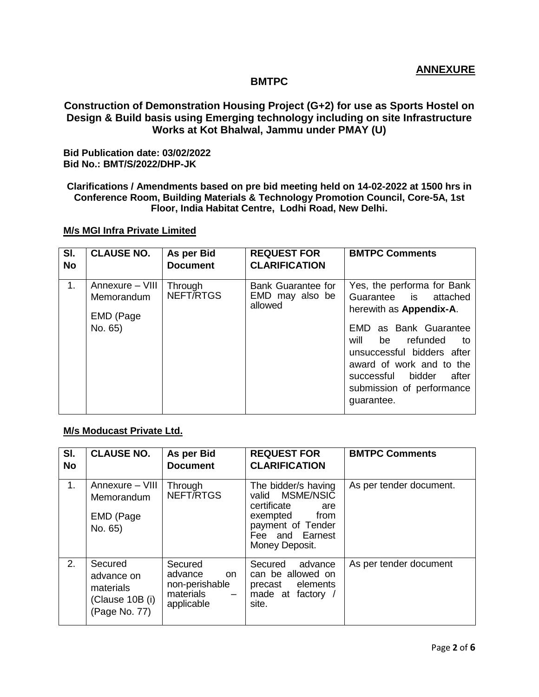## **BMTPC**

## **Construction of Demonstration Housing Project (G+2) for use as Sports Hostel on Design & Build basis using Emerging technology including on site Infrastructure Works at Kot Bhalwal, Jammu under PMAY (U)**

**Bid Publication date: 03/02/2022 Bid No.: BMT/S/2022/DHP-JK**

**Clarifications / Amendments based on pre bid meeting held on 14-02-2022 at 1500 hrs in Conference Room, Building Materials & Technology Promotion Council, Core-5A, 1st Floor, India Habitat Centre, Lodhi Road, New Delhi.** 

#### **M/s MGI Infra Private Limited**

| SI.<br><b>No</b> | <b>CLAUSE NO.</b>                                     | As per Bid<br><b>Document</b> | <b>REQUEST FOR</b><br><b>CLARIFICATION</b>       | <b>BMTPC Comments</b>                                                                                                                                                                                                                                                       |
|------------------|-------------------------------------------------------|-------------------------------|--------------------------------------------------|-----------------------------------------------------------------------------------------------------------------------------------------------------------------------------------------------------------------------------------------------------------------------------|
| 1.               | Annexure - VIII<br>Memorandum<br>EMD (Page<br>No. 65) | Through<br>NEFT/RTGS          | Bank Guarantee for<br>EMD may also be<br>allowed | Yes, the performa for Bank<br>Guarantee is attached<br>herewith as Appendix-A.<br>as Bank Guarantee<br>EMD.<br>will<br>be refunded<br>to<br>unsuccessful bidders after<br>award of work and to the<br>successful bidder<br>after<br>submission of performance<br>guarantee. |

### **M/s Moducast Private Ltd.**

| SI.<br><b>No</b> | <b>CLAUSE NO.</b>                                                      | As per Bid<br><b>Document</b>                                                   | <b>REQUEST FOR</b><br><b>CLARIFICATION</b>                                                                                                 | <b>BMTPC Comments</b>   |
|------------------|------------------------------------------------------------------------|---------------------------------------------------------------------------------|--------------------------------------------------------------------------------------------------------------------------------------------|-------------------------|
| 1.               | Annexure - VIII<br>Memorandum<br>EMD (Page<br>No. 65)                  | Through<br>NEFT/RTGS                                                            | The bidder/s having<br>valid MSME/NSIC<br>certificate<br>are<br>exempted<br>from<br>payment of Tender<br>Fee and Earnest<br>Money Deposit. | As per tender document. |
| 2.               | Secured<br>advance on<br>materials<br>(Clause 10B (i)<br>(Page No. 77) | Secured<br>advance<br>on on<br>non-perishable<br>materials<br>$-$<br>applicable | Secured<br>advance<br>can be allowed on<br>precast elements<br>made at factory /<br>site.                                                  | As per tender document  |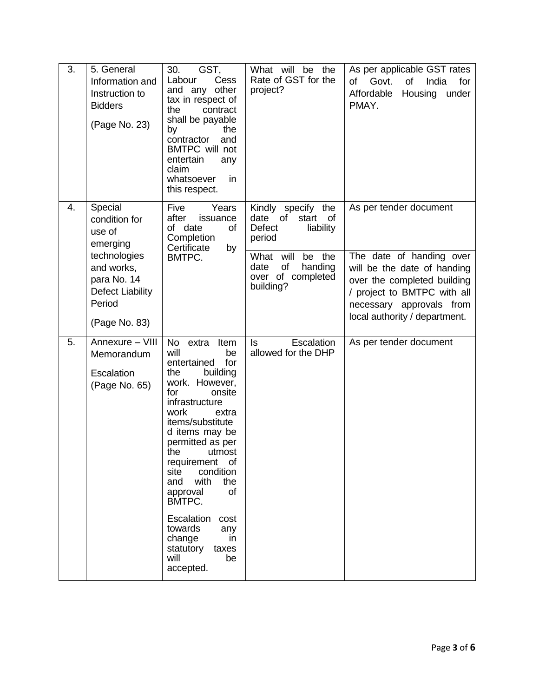| 3. | 5. General<br>Information and<br>Instruction to<br><b>Bidders</b><br>(Page No. 23) | 30.<br>GST,<br>Labour<br>Cess<br>and any other<br>tax in respect of<br>the<br>contract<br>shall be payable<br>the<br>by<br>contractor<br>and<br><b>BMTPC</b> will not<br>entertain<br>any<br>claim<br>whatsoever<br>in.<br>this respect.                                                                                                                                                                                      | What will be the<br>Rate of GST for the<br>project?                               | As per applicable GST rates<br>of<br>of<br>Govt.<br>India<br>for<br>Affordable<br>Housing<br>under<br>PMAY.                                                                        |
|----|------------------------------------------------------------------------------------|-------------------------------------------------------------------------------------------------------------------------------------------------------------------------------------------------------------------------------------------------------------------------------------------------------------------------------------------------------------------------------------------------------------------------------|-----------------------------------------------------------------------------------|------------------------------------------------------------------------------------------------------------------------------------------------------------------------------------|
| 4. | Special<br>condition for<br>use of<br>emerging                                     | Years<br>Five<br>after<br>issuance<br>of date<br>of<br>Completion<br>Certificate<br>by                                                                                                                                                                                                                                                                                                                                        | Kindly specify the<br>date of<br>start of<br>liability<br><b>Defect</b><br>period | As per tender document                                                                                                                                                             |
|    | technologies<br>and works,<br>para No. 14<br><b>Defect Liability</b><br>Period     | BMTPC.                                                                                                                                                                                                                                                                                                                                                                                                                        | What will<br>be the<br>date<br>of<br>handing<br>over of completed<br>building?    | The date of handing over<br>will be the date of handing<br>over the completed building<br>/ project to BMTPC with all<br>necessary approvals from<br>local authority / department. |
|    | (Page No. 83)                                                                      |                                                                                                                                                                                                                                                                                                                                                                                                                               |                                                                                   |                                                                                                                                                                                    |
| 5. | Annexure - VIII<br>Memorandum<br>Escalation<br>(Page No. 65)                       | No extra<br>Item<br>will<br>be<br>entertained<br>for<br>building<br>the<br>work. However,<br>onsite<br>for<br>infrastructure<br>work<br>extra<br>items/substitute<br>d items may be<br>permitted as per<br>the<br>utmost<br>requirement<br>of<br>condition<br>site<br>with<br>the<br>and<br>of<br>approval<br>BMTPC.<br>Escalation<br>cost<br>towards<br>any<br>change<br>in<br>statutory<br>taxes<br>will<br>be<br>accepted. | Escalation<br>ls<br>allowed for the DHP                                           | As per tender document                                                                                                                                                             |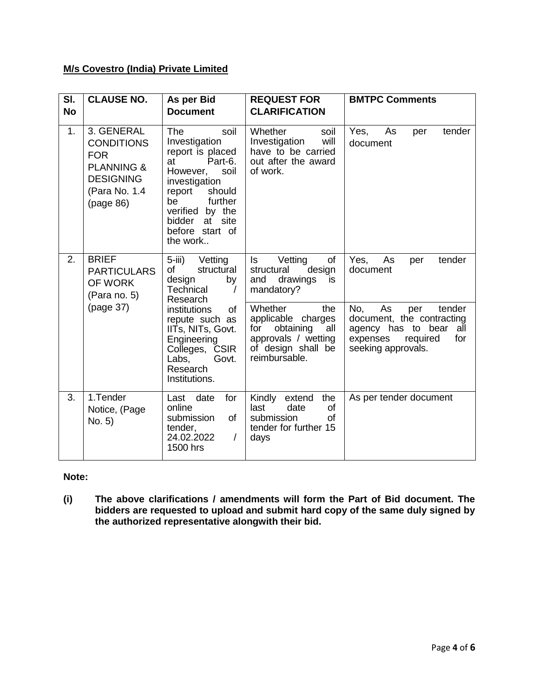# **M/s Covestro (India) Private Limited**

| SI.<br><b>No</b> | <b>CLAUSE NO.</b>                                                                                                        | As per Bid<br><b>Document</b>                                                                                                                                                                                                                            | <b>REQUEST FOR</b><br><b>CLARIFICATION</b>                                                                                    | <b>BMTPC Comments</b>                                                                                                                     |  |
|------------------|--------------------------------------------------------------------------------------------------------------------------|----------------------------------------------------------------------------------------------------------------------------------------------------------------------------------------------------------------------------------------------------------|-------------------------------------------------------------------------------------------------------------------------------|-------------------------------------------------------------------------------------------------------------------------------------------|--|
| 1.               | 3. GENERAL<br><b>CONDITIONS</b><br><b>FOR</b><br><b>PLANNING &amp;</b><br><b>DESIGNING</b><br>(Para No. 1.4<br>(page 86) | soil<br><b>The</b><br>Investigation<br>report is placed<br>Part-6.<br>at<br>However, soil<br>investigation<br>report<br>should<br>further<br>be<br>verified by the<br>bidder<br>at site<br>before start of<br>the work                                   | Whether<br>soil<br>Investigation<br>will<br>have to be carried<br>out after the award<br>of work.                             | Yes,<br>As<br>tender<br>per<br>document                                                                                                   |  |
| 2.               | <b>BRIEF</b><br><b>PARTICULARS</b><br>OF WORK<br>(Para no. 5)<br>(page 37)                                               | $5$ -iii)<br>Vetting<br>structural<br>οf<br>design<br>by<br>Technical<br>Research<br>of<br>institutions<br>repute such as<br>IIT <sub>s</sub> , NIT <sub>s</sub> , Govt.<br>Engineering<br>Colleges, CSIR<br>Labs,<br>Govt.<br>Research<br>Institutions. | ls<br>Vetting<br>of<br>design<br>structural<br>and<br>drawings<br>is.<br>mandatory?                                           | Yes,<br>tender<br>As<br>per<br>document                                                                                                   |  |
|                  |                                                                                                                          |                                                                                                                                                                                                                                                          | Whether<br>the<br>applicable charges<br>obtaining<br>all<br>for<br>approvals / wetting<br>of design shall be<br>reimbursable. | No.<br>As<br>tender<br>per<br>document, the contracting<br>agency has to bear<br>all<br>for<br>expenses<br>required<br>seeking approvals. |  |
| 3.               | 1. Tender<br>Notice, (Page<br>No. 5)                                                                                     | for<br>date<br>Last<br>online<br>submission<br>of<br>tender,<br>24.02.2022<br>$\prime$<br>1500 hrs                                                                                                                                                       | Kindly extend<br>the<br>last<br>date<br>οf<br>submission<br>of<br>tender for further 15<br>days                               | As per tender document                                                                                                                    |  |

**Note:** 

**(i) The above clarifications / amendments will form the Part of Bid document. The bidders are requested to upload and submit hard copy of the same duly signed by the authorized representative alongwith their bid.**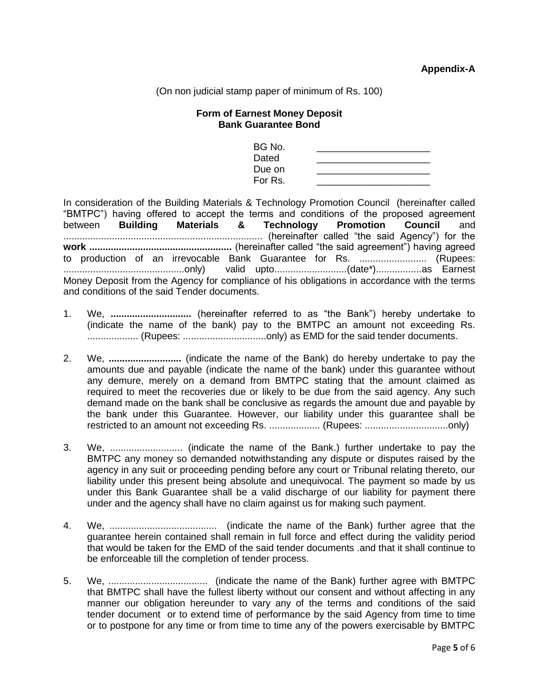(On non judicial stamp paper of minimum of Rs. 100)

#### **Form of Earnest Money Deposit Bank Guarantee Bond**

| BG No.  |  |  |  |
|---------|--|--|--|
| Dated   |  |  |  |
| Due on  |  |  |  |
| For Rs. |  |  |  |

In consideration of the Building Materials & Technology Promotion Council (hereinafter called "BMTPC") having offered to accept the terms and conditions of the proposed agreement between **Building Materials & Technology Promotion Council** and .......................................................................... (hereinafter called "the said Agency") for the **work .....................................................** (hereinafter called "the said agreement") having agreed to production of an irrevocable Bank Guarantee for Rs. ......................... (Rupees: .............................................only) valid upto...........................(date\*).................as Earnest Money Deposit from the Agency for compliance of his obligations in accordance with the terms and conditions of the said Tender documents.

- 1. We, **..............................** (hereinafter referred to as "the Bank") hereby undertake to (indicate the name of the bank) pay to the BMTPC an amount not exceeding Rs. ................... (Rupees: ...............................only) as EMD for the said tender documents.
- 2. We, **...........................** (indicate the name of the Bank) do hereby undertake to pay the amounts due and payable (indicate the name of the bank) under this guarantee without any demure, merely on a demand from BMTPC stating that the amount claimed as required to meet the recoveries due or likely to be due from the said agency. Any such demand made on the bank shall be conclusive as regards the amount due and payable by the bank under this Guarantee. However, our liability under this guarantee shall be restricted to an amount not exceeding Rs. ................... (Rupees: ...............................only)
- 3. We, ........................... (indicate the name of the Bank.) further undertake to pay the BMTPC any money so demanded notwithstanding any dispute or disputes raised by the agency in any suit or proceeding pending before any court or Tribunal relating thereto, our liability under this present being absolute and unequivocal. The payment so made by us under this Bank Guarantee shall be a valid discharge of our liability for payment there under and the agency shall have no claim against us for making such payment.
- 4. We, ........................................ (indicate the name of the Bank) further agree that the guarantee herein contained shall remain in full force and effect during the validity period that would be taken for the EMD of the said tender documents .and that it shall continue to be enforceable till the completion of tender process.
- 5. We, ..................................... (indicate the name of the Bank) further agree with BMTPC that BMTPC shall have the fullest liberty without our consent and without affecting in any manner our obligation hereunder to vary any of the terms and conditions of the said tender document or to extend time of performance by the said Agency from time to time or to postpone for any time or from time to time any of the powers exercisable by BMTPC